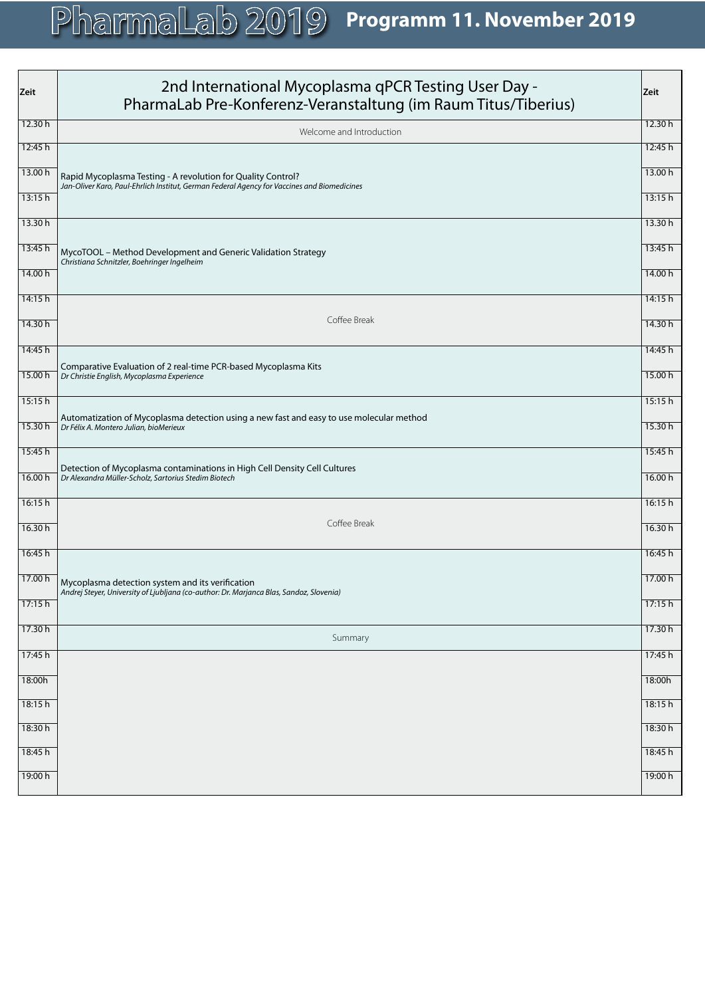| Zeit    | 2nd International Mycoplasma qPCR Testing User Day -<br>PharmaLab Pre-Konferenz-Veranstaltung (im Raum Titus/Tiberius)                                      | Zeit    |
|---------|-------------------------------------------------------------------------------------------------------------------------------------------------------------|---------|
| 12.30h  | Welcome and Introduction                                                                                                                                    | 12.30h  |
| 12:45 h |                                                                                                                                                             | 12:45 h |
| 13.00 h | Rapid Mycoplasma Testing - A revolution for Quality Control?<br>Jan-Oliver Karo, Paul-Ehrlich Institut, German Federal Agency for Vaccines and Biomedicines | 13.00 h |
| 13:15h  |                                                                                                                                                             | 13:15h  |
| 13.30h  |                                                                                                                                                             | 13.30h  |
| 13:45 h | MycoTOOL - Method Development and Generic Validation Strategy<br>Christiana Schnitzler, Boehringer Ingelheim                                                | 13:45 h |
| 14.00 h |                                                                                                                                                             | 14.00 h |
| 14:15h  |                                                                                                                                                             | 14:15h  |
| 14.30h  | Coffee Break                                                                                                                                                | 14.30h  |
| 14:45 h |                                                                                                                                                             | 14:45 h |
| 15.00 h | Comparative Evaluation of 2 real-time PCR-based Mycoplasma Kits<br>Dr Christie English, Mycoplasma Experience                                               | 15.00 h |
| 15:15h  |                                                                                                                                                             | 15:15h  |
| 15.30h  | Automatization of Mycoplasma detection using a new fast and easy to use molecular method<br>Dr Félix A. Montero Julian, bioMerieux                          | 15.30h  |
| 15:45 h |                                                                                                                                                             | 15:45 h |
| 16.00 h | Detection of Mycoplasma contaminations in High Cell Density Cell Cultures<br>Dr Alexandra Müller-Scholz, Sartorius Stedim Biotech                           | 16.00 h |
| 16:15h  |                                                                                                                                                             | 16:15h  |
| 16.30h  | Coffee Break                                                                                                                                                | 16.30h  |
| 16:45 h |                                                                                                                                                             | 16:45 h |
| 17.00 h | Mycoplasma detection system and its verification<br>Andrej Steyer, University of Ljubljana (co-author: Dr. Marjanca Blas, Sandoz, Slovenia)                 | 17.00 h |
| 17:15 h |                                                                                                                                                             | 17:15h  |
| 17.30h  | Summary                                                                                                                                                     | 17.30h  |
| 17:45 h |                                                                                                                                                             | 17:45 h |
| 18:00h  |                                                                                                                                                             | 18:00h  |
| 18:15h  |                                                                                                                                                             | 18:15h  |
| 18:30 h |                                                                                                                                                             | 18:30 h |
| 18:45 h |                                                                                                                                                             | 18:45 h |
| 19:00 h |                                                                                                                                                             | 19:00 h |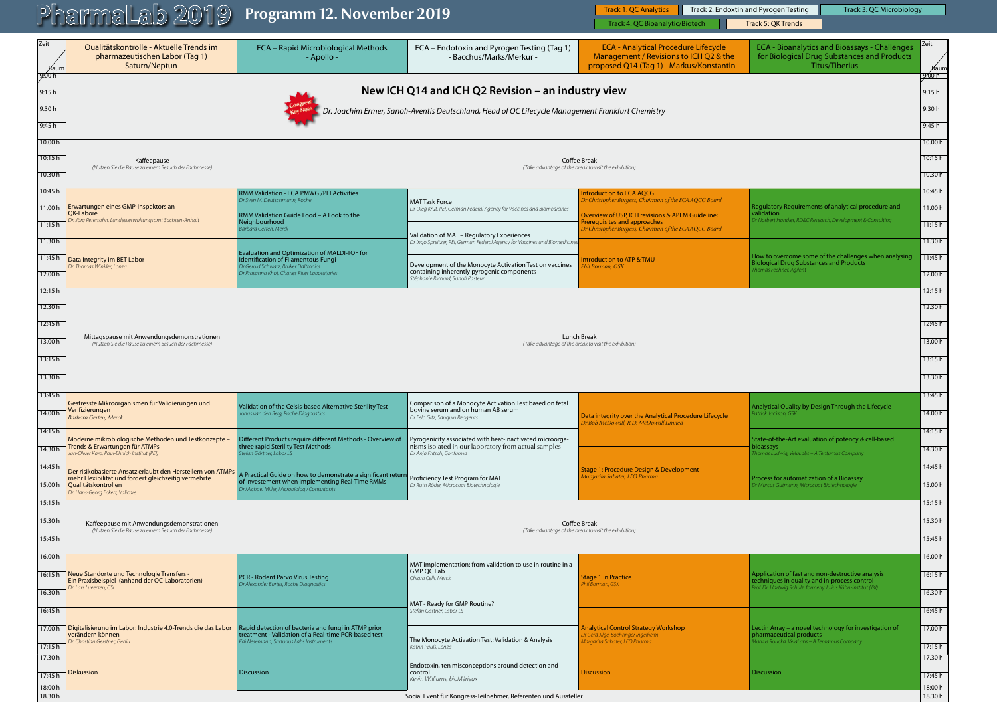|                      | <u>I inginingi kato ise</u>                                                                                                                                                   | $\frac{1}{2}$ is a contracted to $\frac{1}{2}$ is the set of $\frac{1}{2}$ in $\frac{1}{2}$ is the set of $\frac{1}{2}$ in $\frac{1}{2}$ is the set of $\frac{1}{2}$ in $\frac{1}{2}$ is the set of $\frac{1}{2}$ is the set of $\frac{1}{2}$ is the set of $\frac{1}{2}$ |                                                                                                                                 | Track 4: QC Bioanalytic/Biotech                                                                                                     | Track 5: QK Trends                                                                                                        |                       |
|----------------------|-------------------------------------------------------------------------------------------------------------------------------------------------------------------------------|---------------------------------------------------------------------------------------------------------------------------------------------------------------------------------------------------------------------------------------------------------------------------|---------------------------------------------------------------------------------------------------------------------------------|-------------------------------------------------------------------------------------------------------------------------------------|---------------------------------------------------------------------------------------------------------------------------|-----------------------|
| Zeit<br><b>A</b> aum | Qualitätskontrolle - Aktuelle Trends im<br>pharmazeutischen Labor (Tag 1)<br>- Saturn/Neptun -                                                                                | ECA - Rapid Microbiological Methods<br>- Apollo -                                                                                                                                                                                                                         | ECA - Endotoxin and Pyrogen Testing (Tag 1)<br>- Bacchus/Marks/Merkur -                                                         | <b>ECA - Analytical Procedure Lifecycle</b><br>Management / Revisions to ICH Q2 & the<br>proposed Q14 (Tag 1) - Markus/Konstantin - | <b>ECA - Bioanalytics and Bioassays - Challenges</b><br>for Biological Drug Substances and Products<br>- Titus/Tiberius - | Zeit<br>Aaum<br>9.00h |
| 9⁄00 h<br>9:15h      |                                                                                                                                                                               |                                                                                                                                                                                                                                                                           | New ICH Q14 and ICH Q2 Revision - an industry view                                                                              |                                                                                                                                     |                                                                                                                           | 9:15h                 |
| 9.30h                |                                                                                                                                                                               |                                                                                                                                                                                                                                                                           | Dr. Joachim Ermer, Sanofi-Aventis Deutschland, Head of QC Lifecycle Management Frankfurt Chemistry                              |                                                                                                                                     |                                                                                                                           | 9.30h                 |
| 9:45h                |                                                                                                                                                                               |                                                                                                                                                                                                                                                                           |                                                                                                                                 |                                                                                                                                     |                                                                                                                           | 9:45h                 |
| 10.00 h              |                                                                                                                                                                               |                                                                                                                                                                                                                                                                           |                                                                                                                                 |                                                                                                                                     |                                                                                                                           | 10.00 h               |
| 10:15 h              | Kaffeepause                                                                                                                                                                   |                                                                                                                                                                                                                                                                           |                                                                                                                                 | <b>Coffee Break</b>                                                                                                                 |                                                                                                                           | 10:15 h               |
| 10.30 h              | (Nutzen Sie die Pause zu einem Besuch der Fachmesse)                                                                                                                          | (Take advantage of the break to visit the exhibition)                                                                                                                                                                                                                     |                                                                                                                                 |                                                                                                                                     |                                                                                                                           |                       |
| 10:45 h              |                                                                                                                                                                               | <b>RMM Validation - ECA PMWG /PEI Activities</b><br>Dr Sven M. Deutschmann, Roche                                                                                                                                                                                         |                                                                                                                                 | <b>Introduction to ECA AQCG</b><br>Dr Christopher Burgess, Chairman of the ECA AQCG Board                                           |                                                                                                                           | 10:45 h               |
|                      | 11.00 h Erwartungen eines GMP-Inspektors an<br>QK-Labore                                                                                                                      | RMM Validation Guide Food - A Look to the                                                                                                                                                                                                                                 | <b>MAT Task Force</b><br>Dr Oleg Krut, PEI, German Federal Agency for Vaccines and Biomedicines                                 | Overview of USP, ICH revisions & APLM Guideline;                                                                                    | Regulatory Requirements of analytical procedure and<br>validation                                                         | 11.00h                |
| 11:15h               | Jörg Petersohn, Landesverwaltungsamt Sachsen-Anhalt                                                                                                                           | Neighbourhood<br>Barbara Gerten, Merck                                                                                                                                                                                                                                    |                                                                                                                                 | Prerequisites and approaches<br>Dr Christopher Burgess, Chairman of the ECA AQCG Board                                              | Dr Norbert Handler, RD&C Research, Development & Consulting                                                               | 11:15 h               |
| 11.30 h              |                                                                                                                                                                               |                                                                                                                                                                                                                                                                           | Validation of MAT - Regulatory Experiences<br>Dr Ingo Spreitzer, PEI, German Federal Agency for Vaccines and Biomedicines       |                                                                                                                                     |                                                                                                                           | 11.30h                |
| 11:45 h              | Data Integrity im BET Labor<br>Dr. Thomas Winkler, Lonza                                                                                                                      | Evaluation and Optimization of MALDI-TOF for<br>Identification of Filamentous Fungi<br>Dr Gerold Schwarz, Bruker Daltronics                                                                                                                                               | Development of the Monocyte Activation Test on vaccines                                                                         | <b>Introduction to ATP &amp; TMU</b><br>hil Borman, GSK                                                                             | How to overcome some of the challenges when analysing<br><b>Biological Drug Substances and Products</b>                   | 11:45 h               |
| 12.00 h              |                                                                                                                                                                               | Dr Prasanna Khot, Charles River Laboratories                                                                                                                                                                                                                              | containing inherently pyrogenic components<br>Stéphanie Richard, Sanofi Pasteur                                                 |                                                                                                                                     | homas Fechner, Agilent                                                                                                    | 12.00h                |
| 12:15h               |                                                                                                                                                                               |                                                                                                                                                                                                                                                                           |                                                                                                                                 |                                                                                                                                     |                                                                                                                           | 12:15 h               |
| 12.30 h              |                                                                                                                                                                               |                                                                                                                                                                                                                                                                           |                                                                                                                                 |                                                                                                                                     |                                                                                                                           | 12.30 h               |
| 12:45 h              |                                                                                                                                                                               |                                                                                                                                                                                                                                                                           |                                                                                                                                 |                                                                                                                                     |                                                                                                                           | 12:45 h               |
| 13.00 h              | Mittagspause mit Anwendungsdemonstrationen<br>(Nutzen Sie die Pause zu einem Besuch der Fachmesse)                                                                            |                                                                                                                                                                                                                                                                           |                                                                                                                                 | Lunch Break<br>(Take advantage of the break to visit the exhibition)                                                                |                                                                                                                           | 13.00 h               |
| 13:15 h              |                                                                                                                                                                               |                                                                                                                                                                                                                                                                           |                                                                                                                                 |                                                                                                                                     |                                                                                                                           | 13:15 h               |
| 13.30h               |                                                                                                                                                                               |                                                                                                                                                                                                                                                                           |                                                                                                                                 |                                                                                                                                     |                                                                                                                           | 13.30 h               |
| 13:45 h              |                                                                                                                                                                               |                                                                                                                                                                                                                                                                           |                                                                                                                                 |                                                                                                                                     |                                                                                                                           | 13:45 h               |
| 14.00 h              | Gestresste Mikroorganismen für Validierungen und<br>Verifizierungen<br><b>Barbara Gerten, Merck</b>                                                                           | Validation of the Celsis-based Alternative Sterility Test<br>Jonas van den Berg, Roche Diagnostics                                                                                                                                                                        | Comparison of a Monocyte Activation Test based on fetal<br>bovine serum and on human AB serum<br>Dr Eelo Gitz, Sanguin Reagents | Data integrity over the Analytical Procedure Lifecycle<br>Dr Bob McDowall, R.D. McDowall Limited                                    | Analytical Quality by Design Through the Lifecycle<br>Patrick Jackson, GSK                                                | 14.00 h               |
| 14:15 h              | Moderne mikrobiologische Methoden und Testkonzepte-                                                                                                                           | Different Products require different Methods - Overview of                                                                                                                                                                                                                | Pyrogenicity associated with heat-inactivated microorga-                                                                        |                                                                                                                                     | State-of-the-Art evaluation of potency & cell-based                                                                       | 14:15h                |
| 14.30 h              | <b>Trends &amp; Erwartungen für ATMPs</b><br>Jan-Oliver Karo, Paul-Ehrlich Institut (PEI)                                                                                     | three rapid Sterility Test Methods<br>Stefan Gärtner, Labor LS                                                                                                                                                                                                            | nisms isolated in our laboratory from actual samples<br>Dr Anja Fritsch, Confarma                                               |                                                                                                                                     | bioassays<br>homas Ludwig, VelaLabs – A Tentamus Company                                                                  | 14.30 h               |
| 14:45 h<br>15.00 h   | Der risikobasierte Ansatz erlaubt den Herstellern von ATMPs<br>mehr Flexibilität und fordert gleichzeitig vermehrte<br>Qualitätskontrollen<br>Dr. Hans-Georg Eckert, Valicare | A Practical Guide on how to demonstrate a significant returi<br>of investement when implementing Real-Time RMMs<br>Dr Michael Miller, Microbiology Consultants                                                                                                            | Proficiency Test Program for MAT<br>Dr Ruth Röder, Microcoat Biotechnologie                                                     | Stage 1: Procedure Design & Development<br>Margarita Sabater, LEO Pharma                                                            | Process for automatization of a Bioassay<br>Dr Marcus Gutmann, Microcoat Biotechnologie                                   | 14:45 h<br>15.00h     |
| 15:15 h              |                                                                                                                                                                               |                                                                                                                                                                                                                                                                           |                                                                                                                                 |                                                                                                                                     |                                                                                                                           | 15:15 h               |
| 15.30 h              | Kaffeepause mit Anwendungsdemonstrationen                                                                                                                                     |                                                                                                                                                                                                                                                                           |                                                                                                                                 | Coffee Break                                                                                                                        |                                                                                                                           | 15.30 h               |
| 15:45 h              | (Nutzen Sie die Pause zu einem Besuch der Fachmesse)                                                                                                                          |                                                                                                                                                                                                                                                                           |                                                                                                                                 | (Take advantage of the break to visit the exhibition)                                                                               |                                                                                                                           | 15:45 h               |
| 16.00 h              |                                                                                                                                                                               |                                                                                                                                                                                                                                                                           |                                                                                                                                 |                                                                                                                                     |                                                                                                                           | 16.00 h               |
| 16:15 h              | Neue Standorte und Technologie Transfers -                                                                                                                                    | <b>PCR - Rodent Parvo Virus Testing</b>                                                                                                                                                                                                                                   | MAT implementation: from validation to use in routine in a<br>GMP QC Lab                                                        | <b>Stage 1 in Practice</b>                                                                                                          | Application of fast and non-destructive analysis                                                                          | 16:15 h               |
| 16.30h               | Ein Praxisbeispiel (anhand der QC-Laboratorien)<br>Dr. Lars Lueersen, CSL                                                                                                     | Dr Alexander Bartes, Roche Diagnostics                                                                                                                                                                                                                                    | Chiara Celli, Merck                                                                                                             | 'hil Borman, GSK                                                                                                                    | techniques in quality and in-process control<br>Prof. Dr. Hartwig Schulz, formerly Julius Kühn-Institut (JKI)             | 16.30 h               |
| 16:45 h              |                                                                                                                                                                               |                                                                                                                                                                                                                                                                           | MAT - Ready for GMP Routine?<br>Stefan Gärtner, Labor LS                                                                        |                                                                                                                                     |                                                                                                                           | 16:45 h               |
| 17.00 h              | □ Digitalisierung im Labor: Industrie 4.0-Trends die das Labor                                                                                                                | Rapid detection of bacteria and fungi in ATMP prior                                                                                                                                                                                                                       |                                                                                                                                 | Analytical Control Strategy Workshop                                                                                                | Lectin Array – a novel technology for investigation of                                                                    | 17.00 h               |
| 17:15h               | verändern können<br>Dr. Christian Gerstner, Geniu                                                                                                                             | treatment - Validation of a Real-time PCR-based test<br>Kai Nesemann, Sartorius Labs Instruments                                                                                                                                                                          | The Monocyte Activation Test: Validation & Analysis                                                                             | Dr Gerd Jilge, Boehringer Ingelheim<br>Margarita Sabater, LEO Pharma                                                                | pharmaceutical products<br>Markus Roucka, VelaLabs - A Tentamus Company                                                   | 17:15 h               |
| 17.30h               |                                                                                                                                                                               |                                                                                                                                                                                                                                                                           | Katrin Pauls, Lonza                                                                                                             |                                                                                                                                     |                                                                                                                           | 17.30h                |
| 17:45 h              | Diskussion                                                                                                                                                                    | <b>Discussion</b>                                                                                                                                                                                                                                                         | Endotoxin, ten misconceptions around detection and<br>control<br>Kevin Williams, bioMérieux                                     | <b>Discussion</b>                                                                                                                   | <b>Discussion</b>                                                                                                         | 17:45 h               |
| 18:00 h              |                                                                                                                                                                               |                                                                                                                                                                                                                                                                           |                                                                                                                                 |                                                                                                                                     |                                                                                                                           | 18:00 h<br>18.30h     |
| 18.30h               |                                                                                                                                                                               |                                                                                                                                                                                                                                                                           | Social Event für Kongress-Teilnehmer, Referenten und Aussteller                                                                 |                                                                                                                                     |                                                                                                                           |                       |

Track 3: QC Microbiology

|  | PharmaLab 2019 Programm 12. November 2019 |  |  | Track 2: Endoxtin and Pyrogen Testing |
|--|-------------------------------------------|--|--|---------------------------------------|
|  |                                           |  |  | Track 5: OK Trends                    |
|  |                                           |  |  |                                       |
|  |                                           |  |  |                                       |